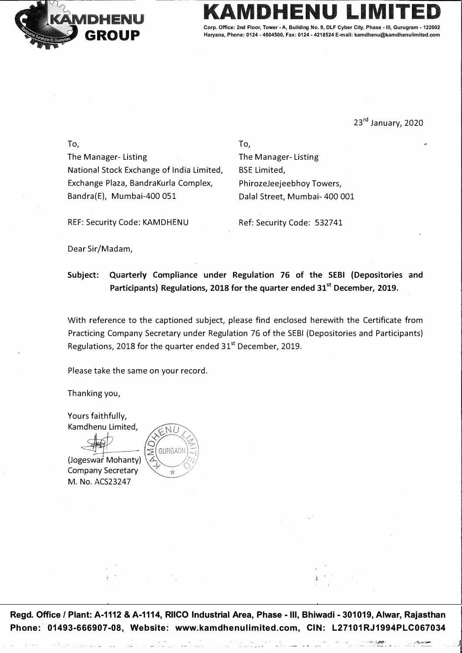

Corp. Office: 2nd Floor, Tower - A, Building No. 9, DLF Cyber City, Phase **Haryana, Phone: 0124 - 4604500, Fax: 0124 - 4218524 E-mail: kamdhenu@kamdhenulimited.com** 

23<sup>rd</sup> January, 2020

To, The Manager- Listing National Stock Exchange of India Limited, Exchange Plaza, BandraKurla Complex, Bandra(E), Mumbai-400 051

To, The Manager- Listing BSE Limited, PhirozeJeejeebhoy Towers, Dalal Street, Mumbai- 400 001

REF: Security Code: KAMDHENU

Ref: Security Code: 532741

Dear Sir/Madam,

**Subject: Quarterly Compliance under Regulation 76 of the SEBI (Depositories and Participants) Regulations, 2018 for the quarter ended 31st December, 2019.** 

With reference to the captioned subject, please find enclosed herewith the Certificate from Practicing Company Secretary under Regulation 76 of the SEBI (Depositories and Participants) Regulations, 2018 for the quarter ended  $31<sup>st</sup>$  December, 2019.

Please take the same on your record.

Thanking you,

Yours faithfully, Kamdhenu Limited,

(Jogeswar Mohanty) Company Secretary M. No. ACS23247



**Regd. Office/ Plant: A-1112 & A-1114, RIICO Industrial Area, Phase -111 , Bhiwadi - 301019, Alwar, Rajasthan Phone: 01493-666907-08, Website: www.kamdhenulimited.com, CIN: L27101RJ1994PLC067034**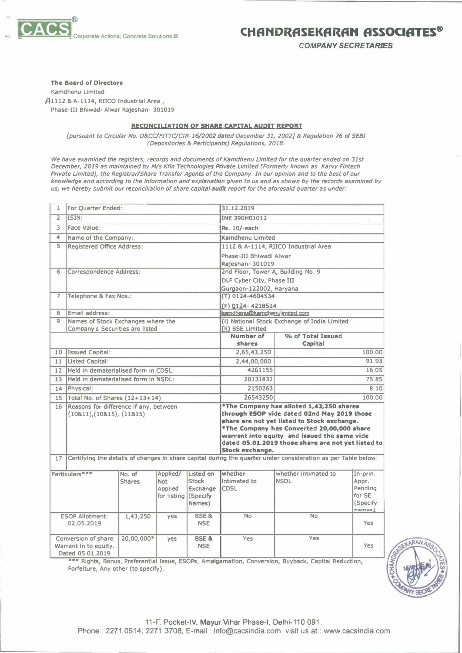

## **CHfiNDRfiSEKflRfiN ASSOCIATES®**

*COMPANY SECRETARIES* 

### **The Board of Directors**

**Kamdhenu Limited � 1112 & A-1114, RIJCO Industrial Area , Phase-Ill Bhlwadi Alwar Rajeshan- 301019** 

### **RECONCILIATION OF SHARE CAPITAL AUDIT REPORT**

*{pursuant to Circular No. D&CC/FITTC/CIR-16/2002 dated December 31, 2002)* **&** *Regulation* **76** *of SEBI (Depositories* **&** *Part/dpants) Regulations, 2018.* 

*We have examined the registers, records and documents of Kamdhenu Limited for the quarter ended on 31st December, 2019 as maintained by M/s Kfin Technologies Private Limited (Formerly known as Karvy Fintech Private Limited), the Registrar/Share Transfer Agents of the Company. In our opinion and to the best of our knowledge and according to the Information and explanation given to us and as shown by the records examined by*  us, we hereby submit our reconciliation of share capital *audit report for the aforesaid quarter as under:* 

| For Quarter Ended:<br>1                                          |                                                                                                               |                         | 31.12.2019                                                 |                                                 |                                                                                                                                                                                                                                                                          |                                     |                                                             |  |  |
|------------------------------------------------------------------|---------------------------------------------------------------------------------------------------------------|-------------------------|------------------------------------------------------------|-------------------------------------------------|--------------------------------------------------------------------------------------------------------------------------------------------------------------------------------------------------------------------------------------------------------------------------|-------------------------------------|-------------------------------------------------------------|--|--|
| $\overline{2}$                                                   | ISIN:                                                                                                         |                         |                                                            |                                                 | INE 390H01012                                                                                                                                                                                                                                                            |                                     |                                                             |  |  |
| $\overline{\mathbf{3}}$                                          | Face Value:                                                                                                   |                         |                                                            |                                                 | Rs. 10/-each                                                                                                                                                                                                                                                             |                                     |                                                             |  |  |
| 4                                                                | Name of the Company:                                                                                          |                         |                                                            |                                                 | Kamdhenu Limited                                                                                                                                                                                                                                                         |                                     |                                                             |  |  |
| $\overline{\mathsf{S}}$                                          | Registered Office Address:                                                                                    |                         |                                                            |                                                 | 1112 & A-1114, RIICO Industrial Area                                                                                                                                                                                                                                     |                                     |                                                             |  |  |
|                                                                  |                                                                                                               |                         |                                                            | Phase-III Bhiwadl Alwar                         |                                                                                                                                                                                                                                                                          |                                     |                                                             |  |  |
|                                                                  |                                                                                                               |                         |                                                            |                                                 | Raleshan-301019                                                                                                                                                                                                                                                          |                                     |                                                             |  |  |
| 6                                                                | Correspondence Address:                                                                                       |                         |                                                            |                                                 | 2nd Floor, Tower A, Building No. 9                                                                                                                                                                                                                                       |                                     |                                                             |  |  |
|                                                                  |                                                                                                               |                         |                                                            |                                                 | DLF Cyber City, Phase III                                                                                                                                                                                                                                                |                                     |                                                             |  |  |
|                                                                  |                                                                                                               |                         |                                                            |                                                 | Gurgaon-122002, Haryana                                                                                                                                                                                                                                                  |                                     |                                                             |  |  |
| $\overline{7}$                                                   | Telephone & Fax Nos.:                                                                                         |                         |                                                            |                                                 | (T) 0124-4604534                                                                                                                                                                                                                                                         |                                     |                                                             |  |  |
|                                                                  |                                                                                                               |                         |                                                            | (F) 0124-4218524                                |                                                                                                                                                                                                                                                                          |                                     |                                                             |  |  |
| 8                                                                | Email address:                                                                                                |                         |                                                            |                                                 | temdhenu@kamdhenulimited.com                                                                                                                                                                                                                                             |                                     |                                                             |  |  |
| 9                                                                | Names of Stock Exchanges where the                                                                            |                         |                                                            |                                                 | (i) National Stock Exchange of India Limited                                                                                                                                                                                                                             |                                     |                                                             |  |  |
|                                                                  | Company's Securities are listed                                                                               |                         |                                                            |                                                 | (Ii) BSE Limited<br>Number of<br>% of Total Issued                                                                                                                                                                                                                       |                                     |                                                             |  |  |
|                                                                  |                                                                                                               |                         |                                                            |                                                 | shares                                                                                                                                                                                                                                                                   | Capital                             |                                                             |  |  |
| 10                                                               | <b>Issued Capital:</b>                                                                                        |                         |                                                            |                                                 | 2,65,43,250                                                                                                                                                                                                                                                              |                                     | 100.00                                                      |  |  |
| 11                                                               | <b>Listed Capital:</b>                                                                                        |                         |                                                            |                                                 | 2,44,00,000                                                                                                                                                                                                                                                              |                                     | 91.93                                                       |  |  |
| 12                                                               | Held in dematerialised form in CDSL:                                                                          |                         |                                                            |                                                 | 4261155                                                                                                                                                                                                                                                                  |                                     | 16.05                                                       |  |  |
| 13                                                               | Held in dematerialised form in NSDL:                                                                          |                         |                                                            |                                                 | 20131832                                                                                                                                                                                                                                                                 |                                     | 75.85                                                       |  |  |
| 14                                                               | Physical:                                                                                                     |                         |                                                            |                                                 | 2150263                                                                                                                                                                                                                                                                  |                                     | 8.10                                                        |  |  |
| 15                                                               | Total No. of Shares (12+13+14)                                                                                |                         |                                                            |                                                 | 26543250                                                                                                                                                                                                                                                                 |                                     | 100.00                                                      |  |  |
| 16                                                               | Reasons for difference if any, between                                                                        |                         |                                                            |                                                 | *The Company has alloted 1,43,250 shares                                                                                                                                                                                                                                 |                                     |                                                             |  |  |
|                                                                  | (10811), (10815), (11815)                                                                                     |                         |                                                            |                                                 | through ESOP vide dated 02nd May 2019 those<br>share are not yet listed to Stock exchange.<br>*The Company has Converted 20,00,000 share<br>warrant into equity and issued the same vide<br>dated 05.01.2019 those share are not vet listed to<br><b>Stock exchange.</b> |                                     |                                                             |  |  |
| 17                                                               | Certifying the details of changes in share capital during the quarter under consideration as per Table below: |                         |                                                            |                                                 |                                                                                                                                                                                                                                                                          |                                     |                                                             |  |  |
|                                                                  |                                                                                                               |                         |                                                            |                                                 |                                                                                                                                                                                                                                                                          |                                     |                                                             |  |  |
|                                                                  | Particulars***                                                                                                | No. of<br><b>Shares</b> | Applied/<br><b>Not</b><br>Applied<br>for listing (Specify) | Listed on<br><b>Stock</b><br>Exchange<br>Names) | whether<br>intimated to<br><b>CDSL</b>                                                                                                                                                                                                                                   | whether intimated to<br><b>NSDL</b> | In-prin.<br>Appr.<br>Pending<br>for SE<br>(Specify<br>names |  |  |
| <b>ESOP Allotment:</b><br>02.05.2019                             |                                                                                                               | 1,43,250                | yes                                                        | <b>BSE &amp;</b><br><b>NSE</b>                  | <b>No</b>                                                                                                                                                                                                                                                                | <b>No</b>                           | Yes                                                         |  |  |
| Conversion of share<br>Warrant in to equity.<br>Dated 05.01.2019 |                                                                                                               | 20,00,000*              | yes                                                        | <b>BSE &amp;</b><br><b>NSE</b>                  | Yes                                                                                                                                                                                                                                                                      | Yes                                 | Yes                                                         |  |  |

**\*\*\* Rights, Bonus, Preferential Issue, ESOPs, Amalgamation, Conversion, Buyback, Capital Reduction, Forfeiture, Any other (to specify).**